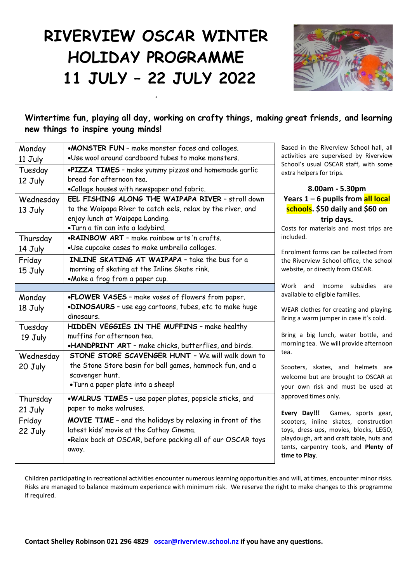## **RIVERVIEW OSCAR WINTER HOLIDAY PROGRAMME 11 JULY – 22 JULY 2022**

**.**



**Wintertime fun, playing all day, working on crafty things, making great friends, and learning new things to inspire young minds!**

| Monday    | •MONSTER FUN - make monster faces and collages.             | Based in the Riverview School hall, all                                      |
|-----------|-------------------------------------------------------------|------------------------------------------------------------------------------|
| 11 July   | .Use wool around cardboard tubes to make monsters.          | activities are supervised by Riverview                                       |
| Tuesday   | .PIZZA TIMES - make yummy pizzas and homemade garlic        | School's usual OSCAR staff, with some<br>extra helpers for trips.            |
| 12 July   | bread for afternoon tea.                                    |                                                                              |
|           | .Collage houses with newspaper and fabric.                  | 8.00am - 5.30pm                                                              |
| Wednesday | EEL FISHING ALONG THE WAIPAPA RIVER - stroll down           | Years 1 – 6 pupils from all local                                            |
| 13 July   | to the Waipapa River to catch eels, relax by the river, and | schools. \$50 daily and \$60 on                                              |
|           | enjoy lunch at Waipapa Landing.                             | trip days.                                                                   |
|           | .Turn a tin can into a ladybird.                            | Costs for materials and most trips are                                       |
| Thursday  | <b>.RAINBOW ART</b> - make rainbow arts 'n crafts.          | included.                                                                    |
| 14 July   | .Use cupcake cases to make umbrella collages.               | Enrolment forms can be collected from                                        |
| Friday    | INLINE SKATING AT WAIPAPA - take the bus for a              | the Riverview School office, the school                                      |
| 15 July   | morning of skating at the Inline Skate rink.                | website, or directly from OSCAR.                                             |
|           | •Make a frog from a paper cup.                              |                                                                              |
|           |                                                             | Work and Income subsidies<br>are                                             |
| Monday    | .FLOWER VASES - make vases of flowers from paper.           | available to eligible families.                                              |
| 18 July   | .DINOSAURS - use egg cartoons, tubes, etc to make huge      | WEAR clothes for creating and playing.                                       |
|           | dinosaurs.                                                  | Bring a warm jumper in case it's cold.                                       |
| Tuesday   | HIDDEN VEGGIES IN THE MUFFINS - make healthy                |                                                                              |
| 19 July   | muffins for afternoon tea.                                  | Bring a big lunch, water bottle, and                                         |
|           | .HANDPRINT ART - make chicks, butterflies, and birds.       | morning tea. We will provide afternoon<br>tea.                               |
| Wednesday | STONE STORE SCAVENGER HUNT - We will walk down to           |                                                                              |
| 20 July   | the Stone Store basin for ball games, hammock fun, and a    | Scooters, skates, and helmets are                                            |
|           | scavenger hunt.                                             | welcome but are brought to OSCAR at                                          |
|           | .Turn a paper plate into a sheep!                           | your own risk and must be used at                                            |
| Thursday  | .WALRUS TIMES - use paper plates, popsicle sticks, and      | approved times only.                                                         |
| 21 July   | paper to make walruses.                                     |                                                                              |
| Friday    | MOVIE TIME - end the holidays by relaxing in front of the   | Every Day!!!<br>Games, sports gear,<br>scooters, inline skates, construction |
| 22 July   | latest kids' movie at the Cathay Cinema.                    | toys, dress-ups, movies, blocks, LEGO,                                       |
|           | .Relax back at OSCAR, before packing all of our OSCAR toys  | playdough, art and craft table, huts and                                     |
|           | away.                                                       | tents, carpentry tools, and Plenty of                                        |
|           |                                                             | time to Play.                                                                |

Children participating in recreational activities encounter numerous learning opportunities and will, at times, encounter minor risks. Risks are managed to balance maximum experience with minimum risk. We reserve the right to make changes to this programme if required.